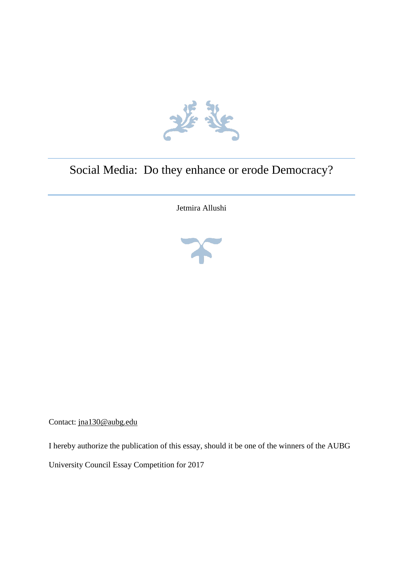

## Social Media: Do they enhance or erode Democracy?

Jetmira Allushi



Contact: [jna130@aubg.edu](mailto:jna130@aubg.edu)

I hereby authorize the publication of this essay, should it be one of the winners of the AUBG University Council Essay Competition for 2017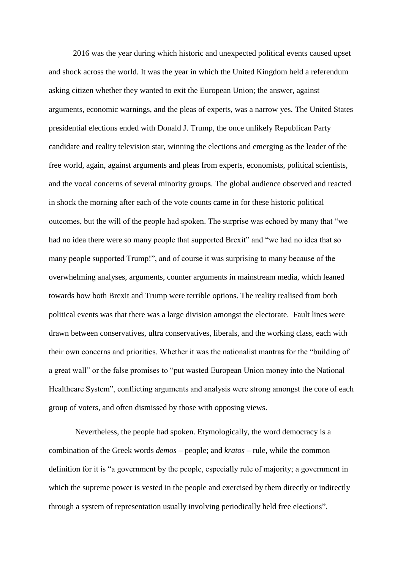2016 was the year during which historic and unexpected political events caused upset and shock across the world*.* It was the year in which the United Kingdom held a referendum asking citizen whether they wanted to exit the European Union; the answer, against arguments, economic warnings, and the pleas of experts, was a narrow yes. The United States presidential elections ended with Donald J. Trump, the once unlikely Republican Party candidate and reality television star, winning the elections and emerging as the leader of the free world, again, against arguments and pleas from experts, economists, political scientists, and the vocal concerns of several minority groups. The global audience observed and reacted in shock the morning after each of the vote counts came in for these historic political outcomes, but the will of the people had spoken. The surprise was echoed by many that "we had no idea there were so many people that supported Brexit" and "we had no idea that so many people supported Trump!", and of course it was surprising to many because of the overwhelming analyses, arguments, counter arguments in mainstream media, which leaned towards how both Brexit and Trump were terrible options. The reality realised from both political events was that there was a large division amongst the electorate. Fault lines were drawn between conservatives, ultra conservatives, liberals, and the working class, each with their own concerns and priorities. Whether it was the nationalist mantras for the "building of a great wall" or the false promises to "put wasted European Union money into the National Healthcare System", conflicting arguments and analysis were strong amongst the core of each group of voters, and often dismissed by those with opposing views.

Nevertheless, the people had spoken. Etymologically, the word democracy is a combination of the Greek words *demos* – people; and *kratos* – rule, while the common definition for it is "a government by the people, especially rule of majority; a government in which the supreme power is vested in the people and exercised by them directly or indirectly through a system of representation usually involving periodically held free elections".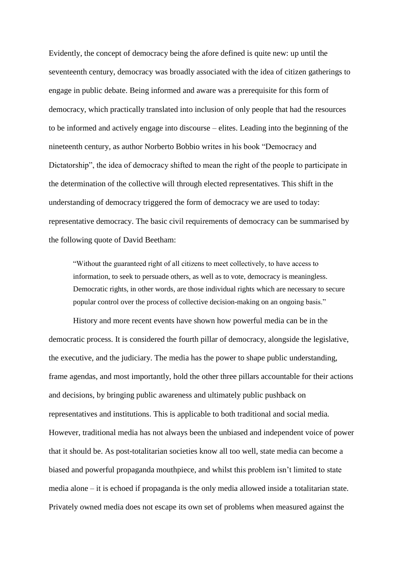Evidently, the concept of democracy being the afore defined is quite new: up until the seventeenth century, democracy was broadly associated with the idea of citizen gatherings to engage in public debate. Being informed and aware was a prerequisite for this form of democracy, which practically translated into inclusion of only people that had the resources to be informed and actively engage into discourse – elites. Leading into the beginning of the nineteenth century, as author Norberto Bobbio writes in his book "Democracy and Dictatorship", the idea of democracy shifted to mean the right of the people to participate in the determination of the collective will through elected representatives. This shift in the understanding of democracy triggered the form of democracy we are used to today: representative democracy. The basic civil requirements of democracy can be summarised by the following quote of David Beetham:

"Without the guaranteed right of all citizens to meet collectively, to have access to information, to seek to persuade others, as well as to vote, democracy is meaningless. Democratic rights, in other words, are those individual rights which are necessary to secure popular control over the process of collective decision-making on an ongoing basis."

History and more recent events have shown how powerful media can be in the democratic process. It is considered the fourth pillar of democracy, alongside the legislative, the executive, and the judiciary. The media has the power to shape public understanding, frame agendas, and most importantly, hold the other three pillars accountable for their actions and decisions, by bringing public awareness and ultimately public pushback on representatives and institutions. This is applicable to both traditional and social media*.*  However, traditional media has not always been the unbiased and independent voice of power that it should be. As post-totalitarian societies know all too well, state media can become a biased and powerful propaganda mouthpiece, and whilst this problem isn't limited to state media alone – it is echoed if propaganda is the only media allowed inside a totalitarian state. Privately owned media does not escape its own set of problems when measured against the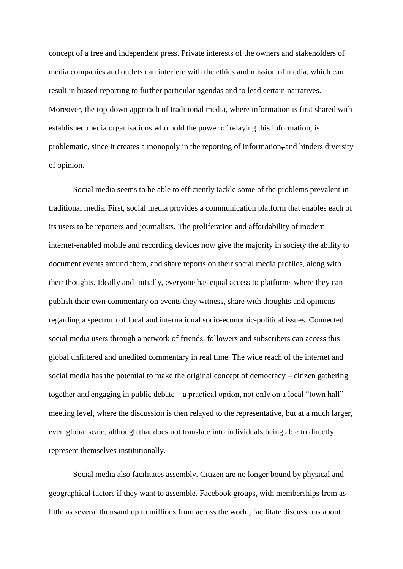concept of a free and independent press. Private interests of the owners and stakeholders of media companies and outlets can interfere with the ethics and mission of media, which can result in biased reporting to further particular agendas and to lead certain narratives. Moreover, the top-down approach of traditional media, where information is first shared with established media organisations who hold the power of relaying this information, is problematic, since it creates a monopoly in the reporting of information, and hinders diversity of opinion.

Social media seems to be able to efficiently tackle some of the problems prevalent in traditional media. First, social media provides a communication platform that enables each of its users to be reporters and journalists. The proliferation and affordability of modern internet-enabled mobile and recording devices now give the majority in society the ability to document events around them, and share reports on their social media profiles, along with their thoughts. Ideally and initially, everyone has equal access to platforms where they can publish their own commentary on events they witness, share with thoughts and opinions regarding a spectrum of local and international socio-economic-political issues. Connected social media users through a network of friends, followers and subscribers can access this global unfiltered and unedited commentary in real time. The wide reach of the internet and social media has the potential to make the original concept of democracy – citizen gathering together and engaging in public debate – a practical option, not only on a local "town hall" meeting level, where the discussion is then relayed to the representative, but at a much larger, even global scale, although that does not translate into individuals being able to directly represent themselves institutionally.

Social media also facilitates assembly. Citizen are no longer bound by physical and geographical factors if they want to assemble. Facebook groups, with memberships from as little as several thousand up to millions from across the world, facilitate discussions about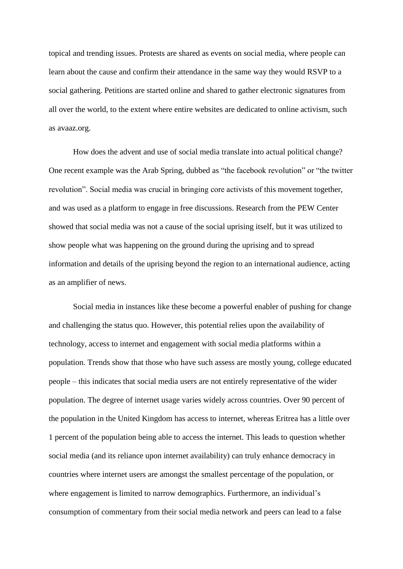topical and trending issues. Protests are shared as events on social media, where people can learn about the cause and confirm their attendance in the same way they would RSVP to a social gathering. Petitions are started online and shared to gather electronic signatures from all over the world, to the extent where entire websites are dedicated to online activism, such as avaaz.org.

How does the advent and use of social media translate into actual political change? One recent example was the Arab Spring, dubbed as "the facebook revolution" or "the twitter revolution". Social media was crucial in bringing core activists of this movement together, and was used as a platform to engage in free discussions. Research from the PEW Center showed that social media was not a cause of the social uprising itself, but it was utilized to show people what was happening on the ground during the uprising and to spread information and details of the uprising beyond the region to an international audience, acting as an amplifier of news.

Social media in instances like these become a powerful enabler of pushing for change and challenging the status quo. However, this potential relies upon the availability of technology, access to internet and engagement with social media platforms within a population. Trends show that those who have such assess are mostly young, college educated people – this indicates that social media users are not entirely representative of the wider population. The degree of internet usage varies widely across countries. Over 90 percent of the population in the United Kingdom has access to internet, whereas Eritrea has a little over 1 percent of the population being able to access the internet. This leads to question whether social media (and its reliance upon internet availability) can truly enhance democracy in countries where internet users are amongst the smallest percentage of the population, or where engagement is limited to narrow demographics. Furthermore, an individual's consumption of commentary from their social media network and peers can lead to a false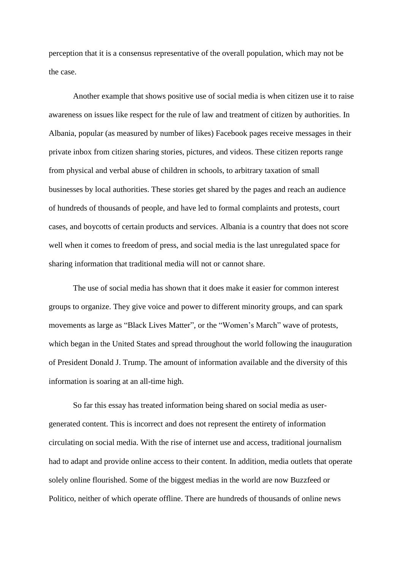perception that it is a consensus representative of the overall population, which may not be the case.

Another example that shows positive use of social media is when citizen use it to raise awareness on issues like respect for the rule of law and treatment of citizen by authorities. In Albania, popular (as measured by number of likes) Facebook pages receive messages in their private inbox from citizen sharing stories, pictures, and videos. These citizen reports range from physical and verbal abuse of children in schools, to arbitrary taxation of small businesses by local authorities. These stories get shared by the pages and reach an audience of hundreds of thousands of people, and have led to formal complaints and protests, court cases, and boycotts of certain products and services. Albania is a country that does not score well when it comes to freedom of press, and social media is the last unregulated space for sharing information that traditional media will not or cannot share.

The use of social media has shown that it does make it easier for common interest groups to organize. They give voice and power to different minority groups, and can spark movements as large as "Black Lives Matter", or the "Women's March" wave of protests, which began in the United States and spread throughout the world following the inauguration of President Donald J. Trump. The amount of information available and the diversity of this information is soaring at an all-time high.

So far this essay has treated information being shared on social media as usergenerated content. This is incorrect and does not represent the entirety of information circulating on social media. With the rise of internet use and access, traditional journalism had to adapt and provide online access to their content. In addition, media outlets that operate solely online flourished. Some of the biggest medias in the world are now Buzzfeed or Politico, neither of which operate offline. There are hundreds of thousands of online news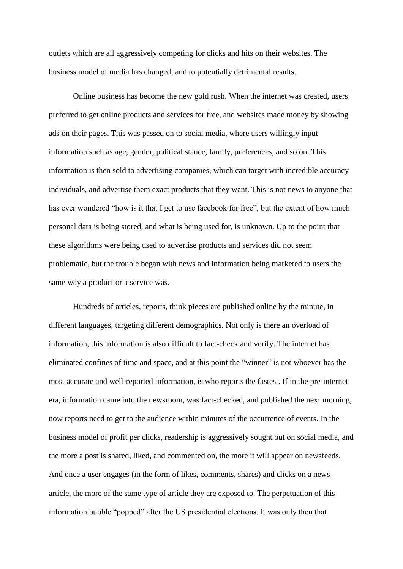outlets which are all aggressively competing for clicks and hits on their websites. The business model of media has changed, and to potentially detrimental results.

Online business has become the new gold rush. When the internet was created, users preferred to get online products and services for free, and websites made money by showing ads on their pages. This was passed on to social media, where users willingly input information such as age, gender, political stance, family, preferences, and so on. This information is then sold to advertising companies, which can target with incredible accuracy individuals, and advertise them exact products that they want. This is not news to anyone that has ever wondered "how is it that I get to use facebook for free", but the extent of how much personal data is being stored, and what is being used for, is unknown. Up to the point that these algorithms were being used to advertise products and services did not seem problematic, but the trouble began with news and information being marketed to users the same way a product or a service was.

Hundreds of articles, reports, think pieces are published online by the minute, in different languages, targeting different demographics. Not only is there an overload of information, this information is also difficult to fact-check and verify. The internet has eliminated confines of time and space, and at this point the "winner" is not whoever has the most accurate and well-reported information, is who reports the fastest. If in the pre-internet era, information came into the newsroom, was fact-checked, and published the next morning, now reports need to get to the audience within minutes of the occurrence of events. In the business model of profit per clicks, readership is aggressively sought out on social media, and the more a post is shared, liked, and commented on, the more it will appear on newsfeeds. And once a user engages (in the form of likes, comments, shares) and clicks on a news article, the more of the same type of article they are exposed to. The perpetuation of this information bubble "popped" after the US presidential elections. It was only then that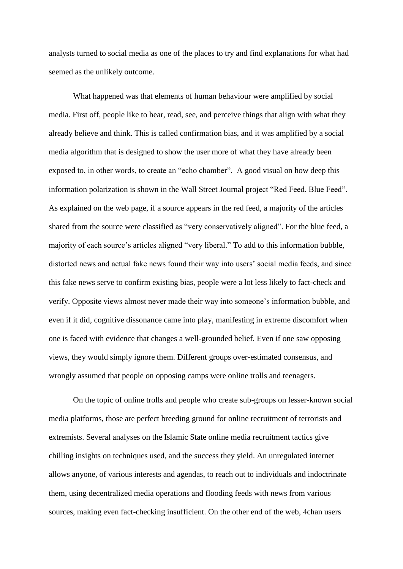analysts turned to social media as one of the places to try and find explanations for what had seemed as the unlikely outcome.

What happened was that elements of human behaviour were amplified by social media. First off, people like to hear, read, see, and perceive things that align with what they already believe and think. This is called confirmation bias, and it was amplified by a social media algorithm that is designed to show the user more of what they have already been exposed to, in other words, to create an "echo chamber". A good visual on how deep this information polarization is shown in the Wall Street Journal project "Red Feed, Blue Feed". As explained on the web page, if a source appears in the red feed, a majority of the articles shared from the source were classified as "very conservatively aligned". For the blue feed, a majority of each source's articles aligned "very liberal." To add to this information bubble, distorted news and actual fake news found their way into users' social media feeds, and since this fake news serve to confirm existing bias, people were a lot less likely to fact-check and verify. Opposite views almost never made their way into someone's information bubble, and even if it did, cognitive dissonance came into play, manifesting in extreme discomfort when one is faced with evidence that changes a well-grounded belief. Even if one saw opposing views, they would simply ignore them. Different groups over-estimated consensus, and wrongly assumed that people on opposing camps were online trolls and teenagers.

On the topic of online trolls and people who create sub-groups on lesser-known social media platforms, those are perfect breeding ground for online recruitment of terrorists and extremists. Several analyses on the Islamic State online media recruitment tactics give chilling insights on techniques used, and the success they yield. An unregulated internet allows anyone, of various interests and agendas, to reach out to individuals and indoctrinate them, using decentralized media operations and flooding feeds with news from various sources, making even fact-checking insufficient. On the other end of the web, 4chan users